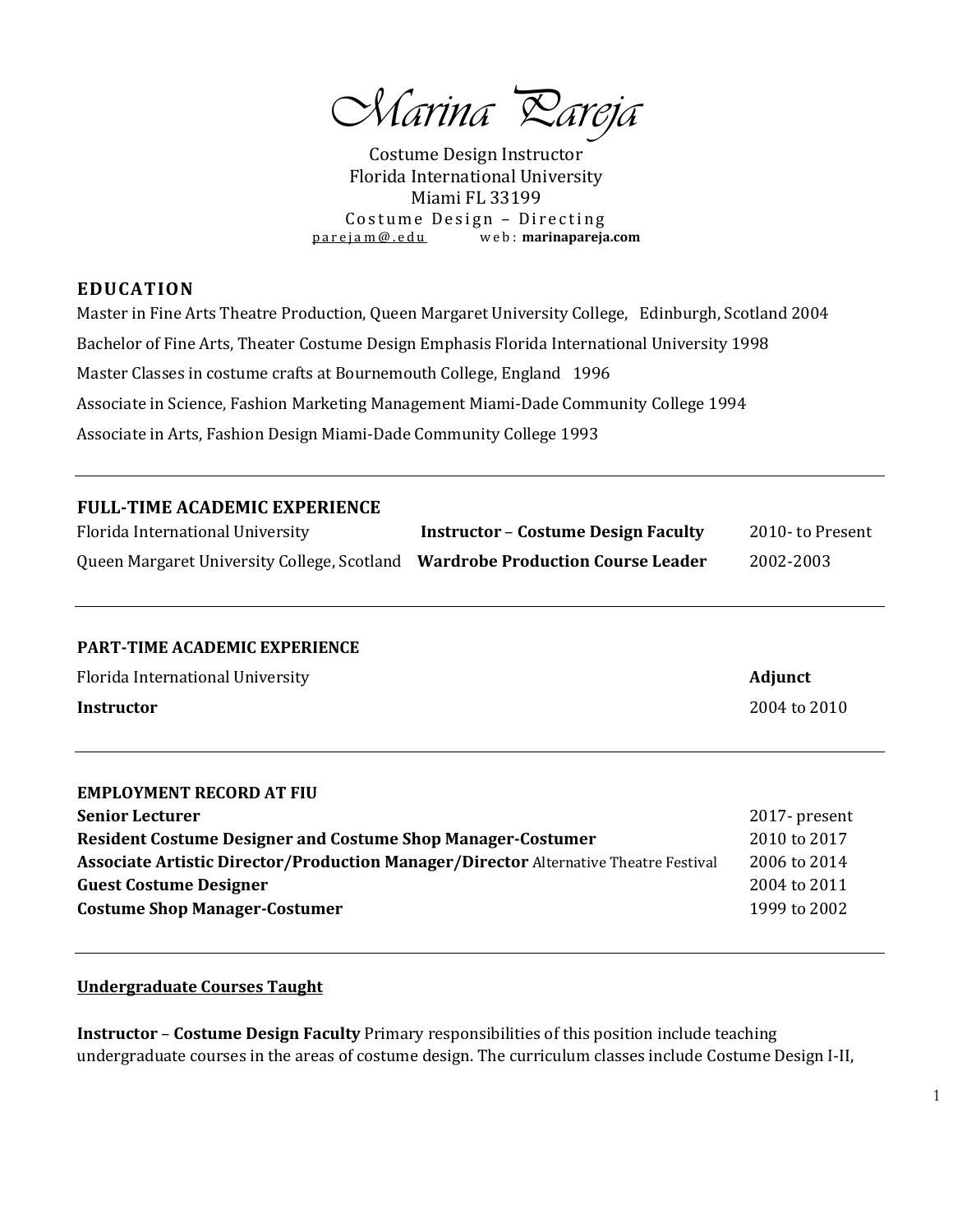*Marina Pareja*

Costume Design Instructor Florida International University Miami FL 33199 Costume Design - Directing [p a r e j a m @ . e d u](mailto:parejam@.edu) w e b : **marinapareja.com**

#### **EDUCATION**

Master in Fine Arts Theatre Production, Queen Margaret University College, Edinburgh, Scotland 2004 Bachelor of Fine Arts, Theater Costume Design Emphasis Florida International University 1998 Master Classes in costume crafts at Bournemouth College, England 1996 Associate in Science, Fashion Marketing Management Miami-Dade Community College 1994 Associate in Arts, Fashion Design Miami-Dade Community College 1993

# **FULL-TIME ACADEMIC EXPERIENCE**

| Florida International University                                              | <b>Instructor – Costume Design Faculty</b> | 2010- to Present |
|-------------------------------------------------------------------------------|--------------------------------------------|------------------|
| Queen Margaret University College, Scotland Wardrobe Production Course Leader |                                            | 2002-2003        |

#### **PART-TIME ACADEMIC EXPERIENCE**

| Florida International University | <b>Adjunct</b> |
|----------------------------------|----------------|
| <b>Instructor</b>                | 2004 to 2010   |

| <b>EMPLOYMENT RECORD AT FIU</b>                                                             |               |
|---------------------------------------------------------------------------------------------|---------------|
| <b>Senior Lecturer</b>                                                                      | 2017- present |
| <b>Resident Costume Designer and Costume Shop Manager-Costumer</b>                          | 2010 to 2017  |
| <b>Associate Artistic Director/Production Manager/Director Alternative Theatre Festival</b> | 2006 to 2014  |
| <b>Guest Costume Designer</b>                                                               | 2004 to 2011  |
| <b>Costume Shop Manager-Costumer</b>                                                        | 1999 to 2002  |

#### **Undergraduate Courses Taught**

**Instructor** – **Costume Design Faculty** Primary responsibilities of this position include teaching undergraduate courses in the areas of costume design. The curriculum classes include Costume Design I-II,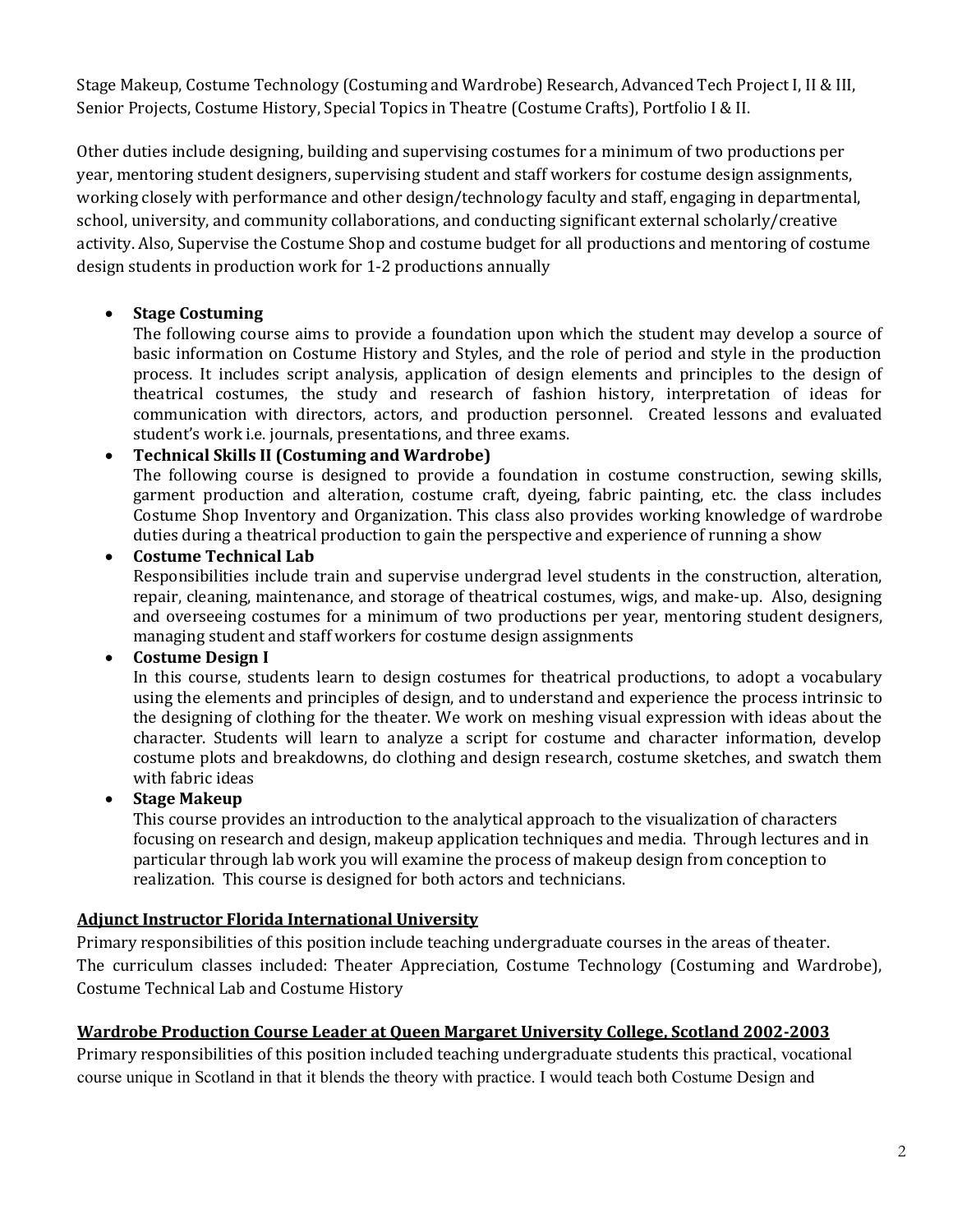Stage Makeup, Costume Technology (Costuming and Wardrobe) Research, Advanced Tech Project I, II & III, Senior Projects, Costume History, Special Topics in Theatre (Costume Crafts), Portfolio I & II.

Other duties include designing, building and supervising costumes for a minimum of two productions per year, mentoring student designers, supervising student and staff workers for costume design assignments, working closely with performance and other design/technology faculty and staff, engaging in departmental, school, university, and community collaborations, and conducting significant external scholarly/creative activity. Also, Supervise the Costume Shop and costume budget for all productions and mentoring of costume design students in production work for 1-2 productions annually

# **Stage Costuming**

The following course aims to provide a foundation upon which the student may develop a source of basic information on Costume History and Styles, and the role of period and style in the production process. It includes script analysis, application of design elements and principles to the design of theatrical costumes, the study and research of fashion history, interpretation of ideas for communication with directors, actors, and production personnel. Created lessons and evaluated student's work i.e. journals, presentations, and three exams.

# **Technical Skills II (Costuming and Wardrobe)**

The following course is designed to provide a foundation in costume construction, sewing skills, garment production and alteration, costume craft, dyeing, fabric painting, etc. the class includes Costume Shop Inventory and Organization. This class also provides working knowledge of wardrobe duties during a theatrical production to gain the perspective and experience of running a show

#### **Costume Technical Lab**

Responsibilities include train and supervise undergrad level students in the construction, alteration, repair, cleaning, maintenance, and storage of theatrical costumes, wigs, and make-up. Also, designing and overseeing costumes for a minimum of two productions per year, mentoring student designers, managing student and staff workers for costume design assignments

### **Costume Design I**

In this course, students learn to design costumes for theatrical productions, to adopt a vocabulary using the elements and principles of design, and to understand and experience the process intrinsic to the designing of clothing for the theater. We work on meshing visual expression with ideas about the character. Students will learn to analyze a script for costume and character information, develop costume plots and breakdowns, do clothing and design research, costume sketches, and swatch them with fabric ideas

### **Stage Makeup**

This course provides an introduction to the analytical approach to the visualization of characters focusing on research and design, makeup application techniques and media. Through lectures and in particular through lab work you will examine the process of makeup design from conception to realization. This course is designed for both actors and technicians.

### **Adjunct Instructor Florida International University**

Primary responsibilities of this position include teaching undergraduate courses in the areas of theater. The curriculum classes included: Theater Appreciation, Costume Technology (Costuming and Wardrobe), Costume Technical Lab and Costume History

### **Wardrobe Production Course Leader at Queen Margaret University College, Scotland 2002-2003**

Primary responsibilities of this position included teaching undergraduate students this practical, vocational course unique in Scotland in that it blends the theory with practice. I would teach both Costume Design and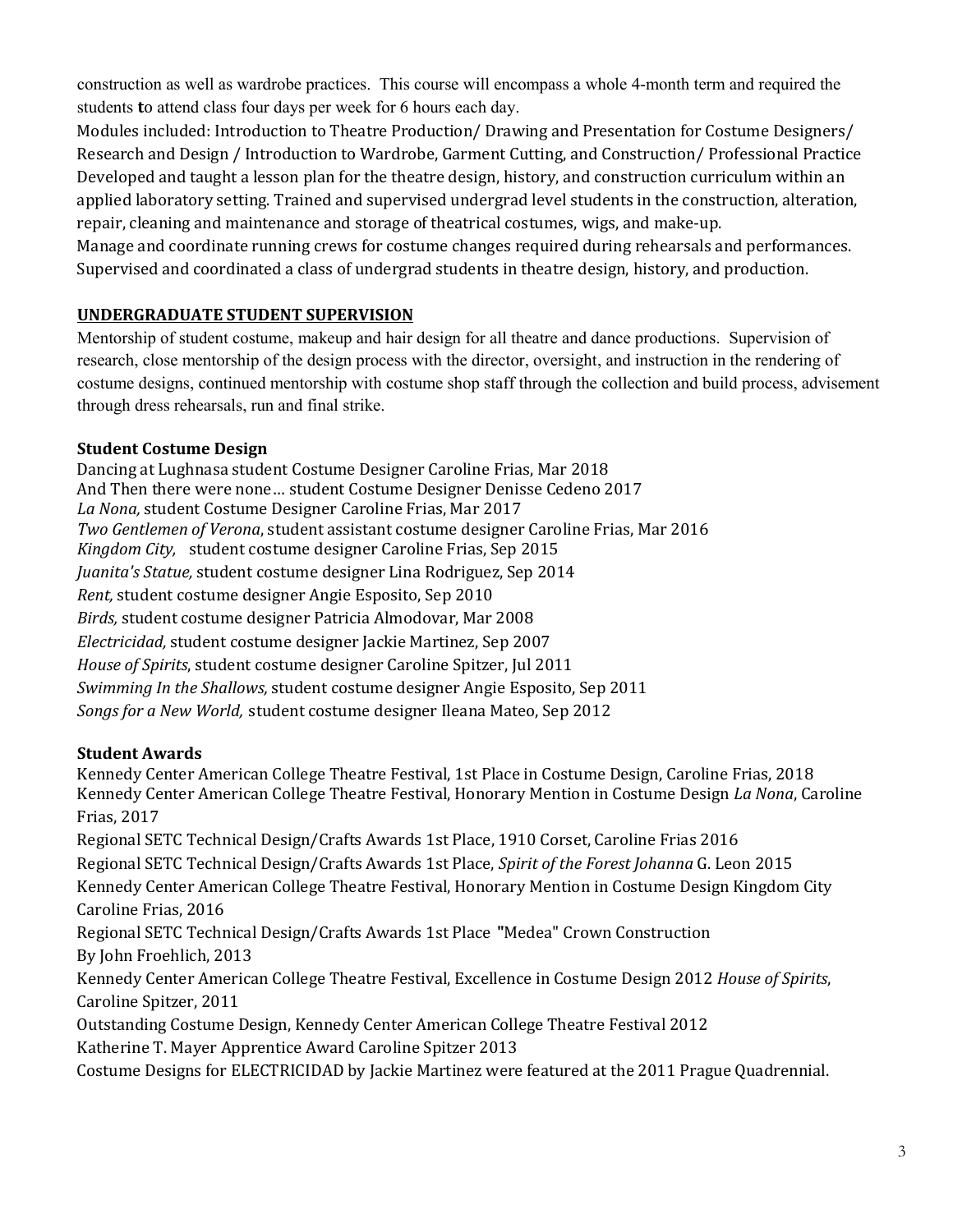construction as well as wardrobe practices. This course will encompass a whole 4-month term and required the students **t**o attend class four days per week for 6 hours each day.

Modules included: Introduction to Theatre Production/ Drawing and Presentation for Costume Designers/ Research and Design / Introduction to Wardrobe, Garment Cutting, and Construction/ Professional Practice Developed and taught a lesson plan for the theatre design, history, and construction curriculum within an applied laboratory setting. Trained and supervised undergrad level students in the construction, alteration, repair, cleaning and maintenance and storage of theatrical costumes, wigs, and make-up.

Manage and coordinate running crews for costume changes required during rehearsals and performances. Supervised and coordinated a class of undergrad students in theatre design, history, and production.

# **UNDERGRADUATE STUDENT SUPERVISION**

Mentorship of student costume, makeup and hair design for all theatre and dance productions. Supervision of research, close mentorship of the design process with the director, oversight, and instruction in the rendering of costume designs, continued mentorship with costume shop staff through the collection and build process, advisement through dress rehearsals, run and final strike.

# **Student Costume Design**

Dancing at Lughnasa student Costume Designer Caroline Frias, Mar 2018 And Then there were none… student Costume Designer Denisse Cedeno 2017 *La Nona,* student Costume Designer Caroline Frias, Mar 2017 *Two Gentlemen of Verona*, student assistant costume designer Caroline Frias, Mar 2016 *Kingdom City,* student costume designer Caroline Frias, Sep 2015 *Juanita's Statue,* student costume designer Lina Rodriguez, Sep 2014 *Rent,* student costume designer Angie Esposito, Sep 2010 *Birds,* student costume designer Patricia Almodovar, Mar 2008 *Electricidad,* student costume designer Jackie Martinez, Sep 2007 *House of Spirits*, student costume designer Caroline Spitzer, Jul 2011 *Swimming In the Shallows,* student costume designer Angie Esposito, Sep 2011 *Songs for a New World,* student costume designer Ileana Mateo, Sep 2012

# **Student Awards**

Kennedy Center American College Theatre Festival, 1st Place in Costume Design, Caroline Frias, 2018 Kennedy Center American College Theatre Festival, Honorary Mention in Costume Design *La Nona*, Caroline Frias, 2017 Regional SETC Technical Design/Crafts Awards 1st Place, 1910 Corset, Caroline Frias 2016 Regional SETC Technical Design/Crafts Awards 1st Place, *Spirit of the Forest Johanna* G. Leon 2015 Kennedy Center American College Theatre Festival, Honorary Mention in Costume Design Kingdom City Caroline Frias, 2016 Regional SETC Technical Design/Crafts Awards 1st Place **"**Medea" Crown Construction By John Froehlich, 2013 Kennedy Center American College Theatre Festival, Excellence in Costume Design 2012 *House of Spirits*, Caroline Spitzer, 2011 Outstanding Costume Design, Kennedy Center American College Theatre Festival 2012 Katherine T. Mayer Apprentice Award Caroline Spitzer 2013

Costume Designs for ELECTRICIDAD by Jackie Martinez were featured at the 2011 Prague Quadrennial.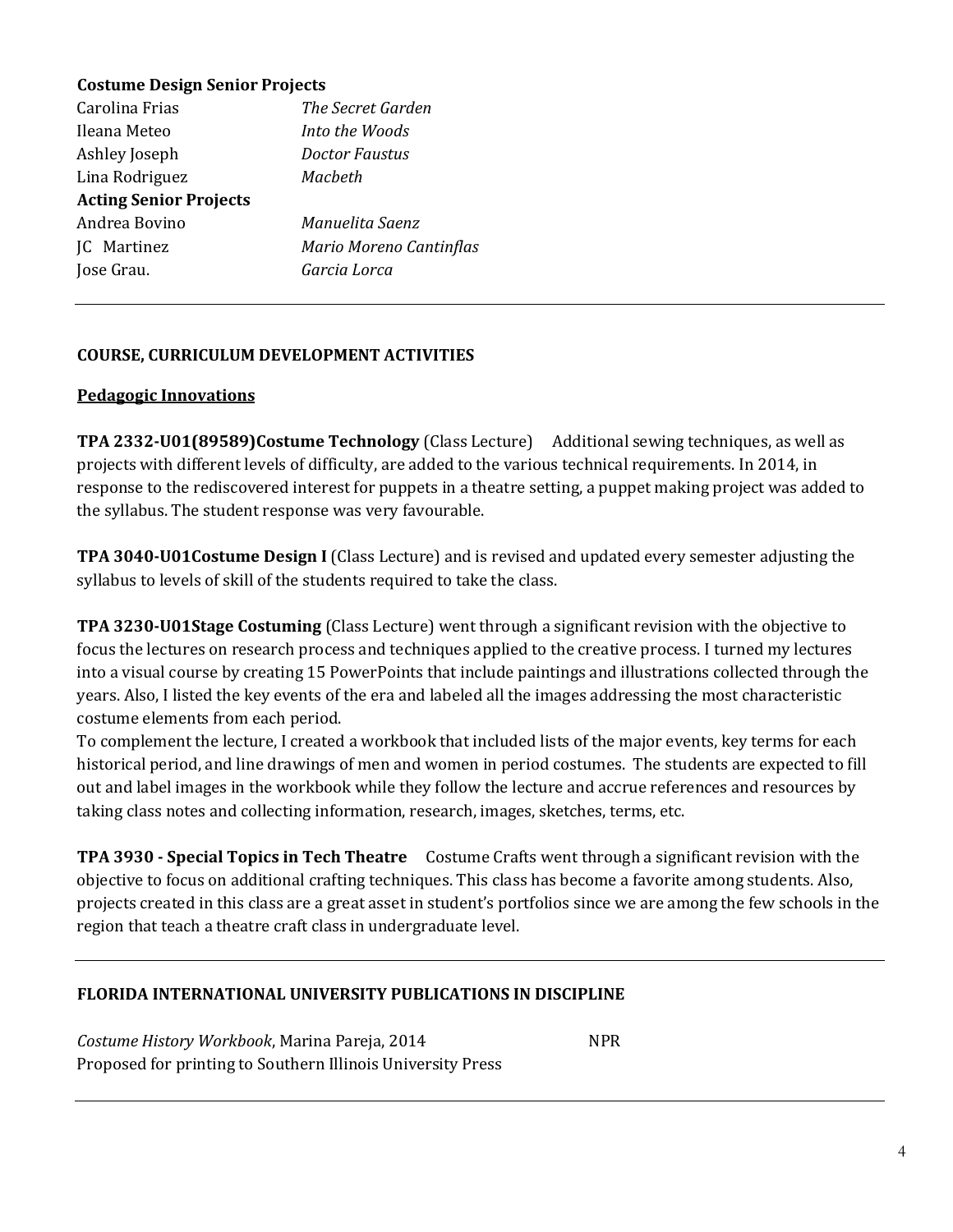# **Costume Design Senior Projects**

| Carolina Frias                | The Secret Garden       |
|-------------------------------|-------------------------|
| Ileana Meteo                  | Into the Woods          |
| Ashley Joseph                 | Doctor Faustus          |
| Lina Rodriguez                | Macheth                 |
| <b>Acting Senior Projects</b> |                         |
| Andrea Bovino                 | Manuelita Saenz         |
| JC Martinez                   | Mario Moreno Cantinflas |
| Jose Grau.                    | Garcia Lorca            |
|                               |                         |

# **COURSE, CURRICULUM DEVELOPMENT ACTIVITIES**

#### **Pedagogic Innovations**

**TPA 2332-U01(89589)Costume Technology** (Class Lecture) Additional sewing techniques, as well as projects with different levels of difficulty, are added to the various technical requirements. In 2014, in response to the rediscovered interest for puppets in a theatre setting, a puppet making project was added to the syllabus. The student response was very favourable.

**TPA 3040-U01Costume Design I** (Class Lecture) and is revised and updated every semester adjusting the syllabus to levels of skill of the students required to take the class.

**TPA 3230-U01Stage Costuming** (Class Lecture) went through a significant revision with the objective to focus the lectures on research process and techniques applied to the creative process. I turned my lectures into a visual course by creating 15 PowerPoints that include paintings and illustrations collected through the years. Also, I listed the key events of the era and labeled all the images addressing the most characteristic costume elements from each period.

To complement the lecture, I created a workbook that included lists of the major events, key terms for each historical period, and line drawings of men and women in period costumes. The students are expected to fill out and label images in the workbook while they follow the lecture and accrue references and resources by taking class notes and collecting information, research, images, sketches, terms, etc.

**TPA 3930 - Special Topics in Tech Theatre** Costume Crafts went through a significant revision with the objective to focus on additional crafting techniques. This class has become a favorite among students. Also, projects created in this class are a great asset in student's portfolios since we are among the few schools in the region that teach a theatre craft class in undergraduate level.

### **FLORIDA INTERNATIONAL UNIVERSITY PUBLICATIONS IN DISCIPLINE**

*Costume History Workbook, Marina Pareja, 2014* NPR Proposed for printing to Southern Illinois University Press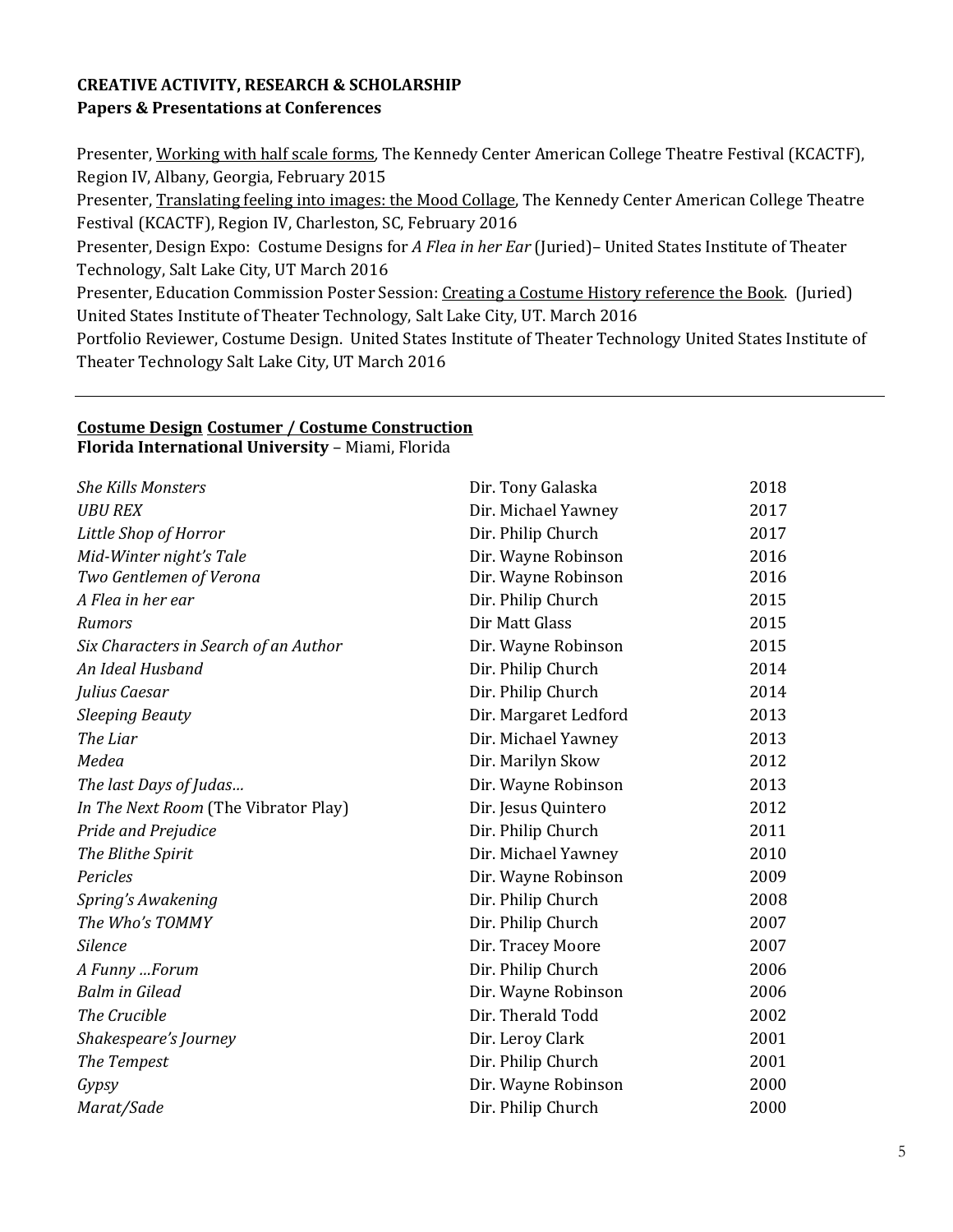# **CREATIVE ACTIVITY, RESEARCH & SCHOLARSHIP Papers & Presentations at Conferences**

Presenter, Working with half scale forms*,* The Kennedy Center American College Theatre Festival (KCACTF), Region IV, Albany, Georgia, February 2015

Presenter, Translating feeling into images: the Mood Collage, The Kennedy Center American College Theatre Festival (KCACTF), Region IV, Charleston, SC, February 2016

Presenter, Design Expo: Costume Designs for *A Flea in her Ear* (Juried)– United States Institute of Theater Technology, Salt Lake City, UT March 2016

Presenter, Education Commission Poster Session: Creating a Costume History reference the Book. (Juried) United States Institute of Theater Technology, Salt Lake City, UT. March 2016

Portfolio Reviewer, Costume Design. United States Institute of Theater Technology United States Institute of Theater Technology Salt Lake City, UT March 2016

#### **Costume Design Costumer / Costume Construction Florida International University** – Miami, Florida

*She Kills Monsters* Dir. Tony Galaska 2018 *UBU REX* Dir. Michael Yawney 2017 *Little Shop of Horror* Dir. Philip Church 2017 *Mid-Winter night's Tale* **Dir.** Wayne Robinson 2016 *Two Gentlemen of Verona* Dir. Wayne Robinson 2016 *A Flea in her ear* Dir. Philip Church 2015 **Rumors** 2015 *Six Characters in Search of an Author* Dir. Wayne Robinson 2015 *An Ideal Husband* Dir. Philip Church 2014 *Julius Caesar* 2014 *Sleeping Beauty* Dir. Margaret Ledford 2013 *The Liar* 2013 *Medea* Dir. Marilyn Skow 2012 *The last Days of Judas...* 2013 *In The Next Room* (The Vibrator Play) Dir. Jesus Quintero 2012 *Pride and Prejudice* Dir. Philip Church 2011 *The Blithe Spirit* Dir. Michael Yawney 2010 *Pericles* Dir. Wayne Robinson 2009 *Spring's Awakening* 2008 *The Who's TOMMY* Dir. Philip Church 2007 *Silence* Dir. Tracey Moore 2007 *A Funny …Forum* Dir. Philip Church 2006 *Balm in Gilead* Dir. Wayne Robinson 2006 **The Crucible 2002 Dir. Therald Todd** 2002 *Shakespeare's Journey* Dir. Leroy Clark 2001 **The Tempest** 2001 **Dir. Philip Church 2001** *Gypsy* Dir. Wayne Robinson 2000 *Marat/Sade* Dir. Philip Church 2000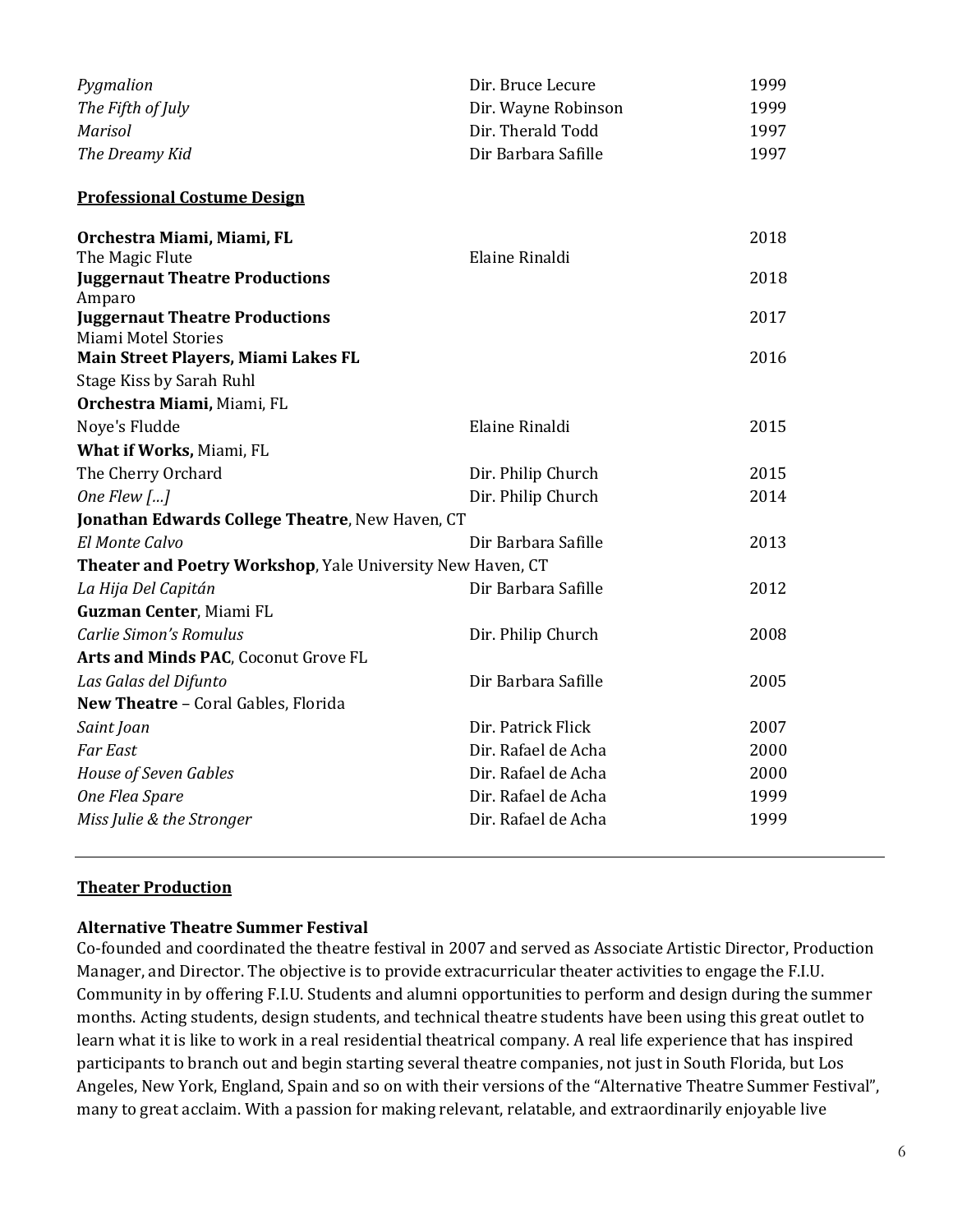| Pygmalion         | Dir. Bruce Lecure   | 1999 |
|-------------------|---------------------|------|
| The Fifth of July | Dir. Wayne Robinson | 1999 |
| Marisol           | Dir. Therald Todd   | 1997 |
| The Dreamy Kid    | Dir Barbara Safille | 1997 |

**Professional Costume Design**

| Orchestra Miami, Miami, FL                                 |                     | 2018 |
|------------------------------------------------------------|---------------------|------|
| The Magic Flute                                            | Elaine Rinaldi      |      |
| <b>Juggernaut Theatre Productions</b><br>Amparo            |                     | 2018 |
| <b>Juggernaut Theatre Productions</b>                      |                     | 2017 |
| Miami Motel Stories                                        |                     |      |
| Main Street Players, Miami Lakes FL                        |                     | 2016 |
| Stage Kiss by Sarah Ruhl                                   |                     |      |
| Orchestra Miami, Miami, FL                                 |                     |      |
| Noye's Fludde                                              | Elaine Rinaldi      | 2015 |
| What if Works, Miami, FL                                   |                     |      |
| The Cherry Orchard                                         | Dir. Philip Church  | 2015 |
| One Flew $[]$                                              | Dir. Philip Church  | 2014 |
| Jonathan Edwards College Theatre, New Haven, CT            |                     |      |
| El Monte Calvo                                             | Dir Barbara Safille | 2013 |
| Theater and Poetry Workshop, Yale University New Haven, CT |                     |      |
| La Hija Del Capitán                                        | Dir Barbara Safille | 2012 |
| Guzman Center, Miami FL                                    |                     |      |
| Carlie Simon's Romulus                                     | Dir. Philip Church  | 2008 |
| Arts and Minds PAC, Coconut Grove FL                       |                     |      |
| Las Galas del Difunto                                      | Dir Barbara Safille | 2005 |
| New Theatre - Coral Gables, Florida                        |                     |      |
| Saint Joan                                                 | Dir. Patrick Flick  | 2007 |
| <b>Far East</b>                                            | Dir. Rafael de Acha | 2000 |
| House of Seven Gables                                      | Dir. Rafael de Acha | 2000 |
| One Flea Spare                                             | Dir. Rafael de Acha | 1999 |
| Miss Julie & the Stronger                                  | Dir. Rafael de Acha | 1999 |

### **Theater Production**

#### **Alternative Theatre Summer Festival**

Co-founded and coordinated the theatre festival in 2007 and served as Associate Artistic Director, Production Manager, and Director. The objective is to provide extracurricular theater activities to engage the F.I.U. Community in by offering F.I.U. Students and alumni opportunities to perform and design during the summer months. Acting students, design students, and technical theatre students have been using this great outlet to learn what it is like to work in a real residential theatrical company. A real life experience that has inspired participants to branch out and begin starting several theatre companies, not just in South Florida, but Los Angeles, New York, England, Spain and so on with their versions of the "Alternative Theatre Summer Festival", many to great acclaim. With a passion for making relevant, relatable, and extraordinarily enjoyable live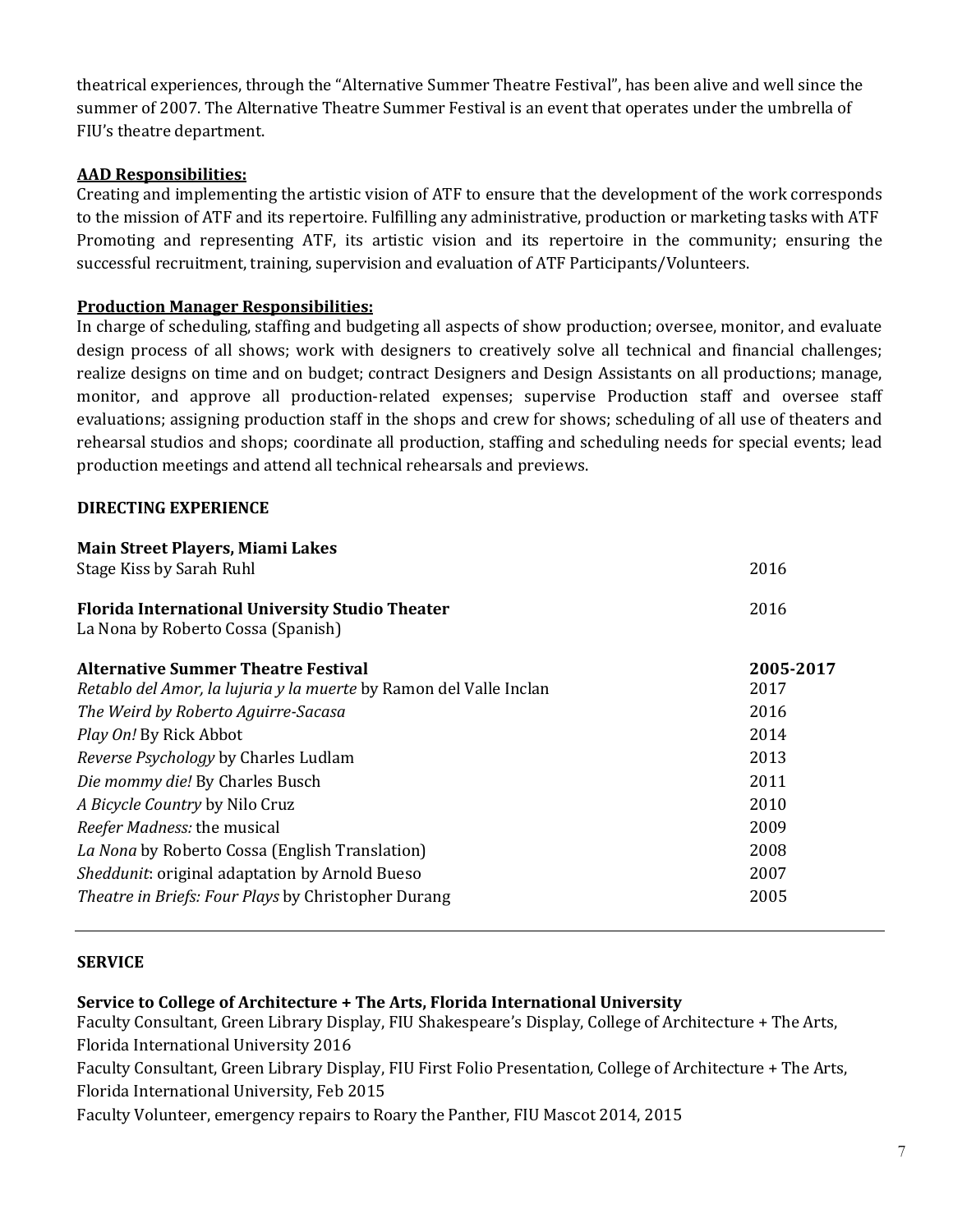theatrical experiences, through the "Alternative Summer Theatre Festival", has been alive and well since the summer of 2007. The Alternative Theatre Summer Festival is an event that operates under the umbrella of FIU's theatre department.

# **AAD Responsibilities:**

Creating and implementing the artistic vision of ATF to ensure that the development of the work corresponds to the mission of ATF and its repertoire. Fulfilling any administrative, production or marketing tasks with ATF Promoting and representing ATF, its artistic vision and its repertoire in the community; ensuring the successful recruitment, training, supervision and evaluation of ATF Participants/Volunteers.

# **Production Manager Responsibilities:**

In charge of scheduling, staffing and budgeting all aspects of show production; oversee, monitor, and evaluate design process of all shows; work with designers to creatively solve all technical and financial challenges; realize designs on time and on budget; contract Designers and Design Assistants on all productions; manage, monitor, and approve all production-related expenses; supervise Production staff and oversee staff evaluations; assigning production staff in the shops and crew for shows; scheduling of all use of theaters and rehearsal studios and shops; coordinate all production, staffing and scheduling needs for special events; lead production meetings and attend all technical rehearsals and previews.

# **DIRECTING EXPERIENCE**

| Main Street Players, Miami Lakes                                   |           |
|--------------------------------------------------------------------|-----------|
| Stage Kiss by Sarah Ruhl                                           | 2016      |
| <b>Florida International University Studio Theater</b>             | 2016      |
| La Nona by Roberto Cossa (Spanish)                                 |           |
| <b>Alternative Summer Theatre Festival</b>                         | 2005-2017 |
| Retablo del Amor, la lujuria y la muerte by Ramon del Valle Inclan | 2017      |
| The Weird by Roberto Aguirre-Sacasa                                | 2016      |
| Play On! By Rick Abbot                                             | 2014      |
| Reverse Psychology by Charles Ludlam                               | 2013      |
| Die mommy die! By Charles Busch                                    | 2011      |
| A Bicycle Country by Nilo Cruz                                     | 2010      |
| Reefer Madness: the musical                                        | 2009      |
| La Nona by Roberto Cossa (English Translation)                     | 2008      |
| Sheddunit: original adaptation by Arnold Bueso                     | 2007      |
| Theatre in Briefs: Four Plays by Christopher Durang                | 2005      |

### **SERVICE**

### **Service to College of Architecture + The Arts, Florida International University**

Faculty Consultant, Green Library Display, FIU Shakespeare's Display, College of Architecture + The Arts, Florida International University 2016

Faculty Consultant, Green Library Display, FIU First Folio Presentation*,* College of Architecture + The Arts, Florida International University, Feb 2015

Faculty Volunteer, emergency repairs to Roary the Panther, FIU Mascot 2014, 2015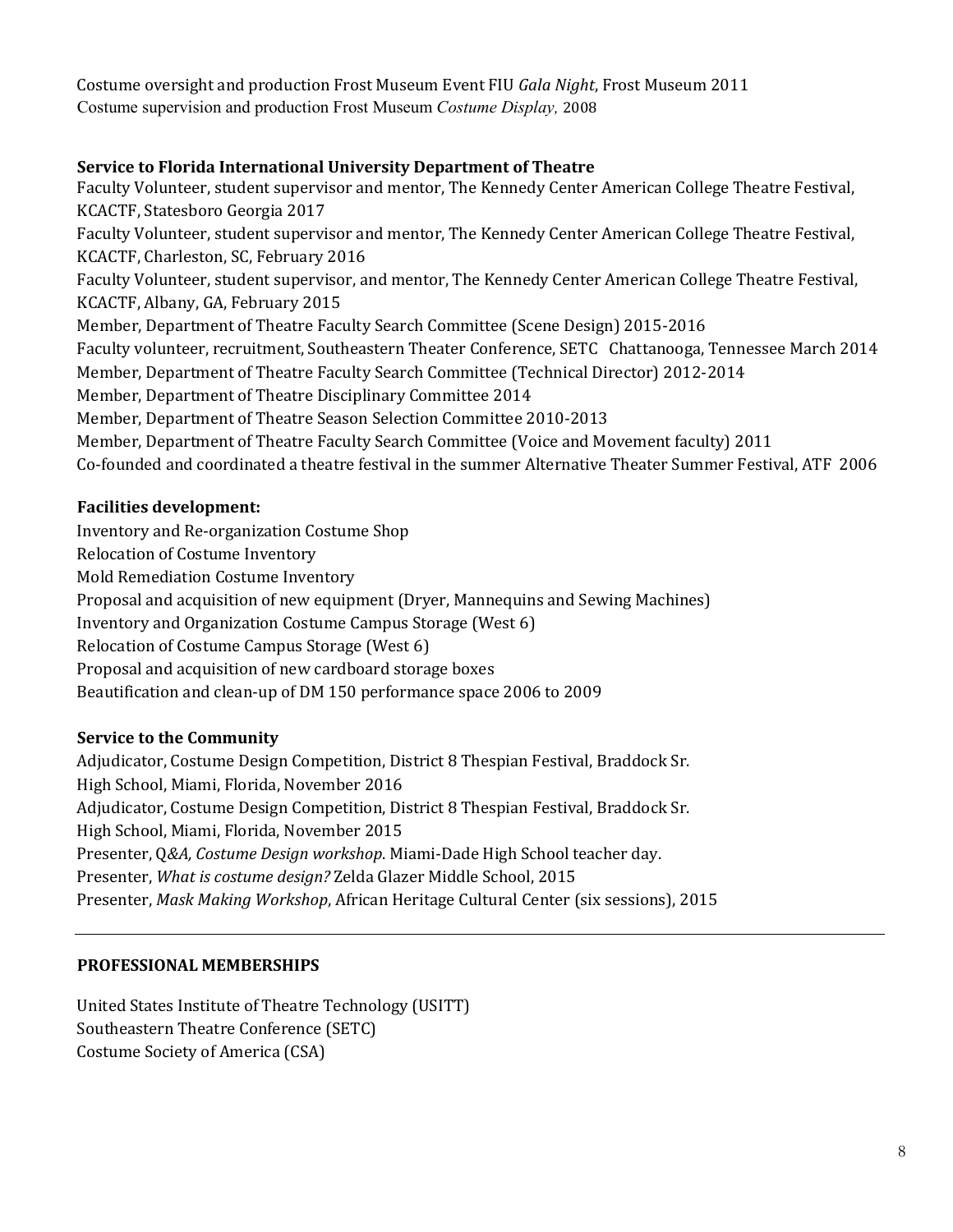Costume oversight and production Frost Museum Event FIU *Gala Night*, Frost Museum 2011 Costume supervision and production Frost Museum *Costume Display,* 2008

# **Service to Florida International University Department of Theatre**

Faculty Volunteer, student supervisor and mentor, The Kennedy Center American College Theatre Festival, KCACTF, Statesboro Georgia 2017 Faculty Volunteer, student supervisor and mentor, The Kennedy Center American College Theatre Festival, KCACTF, Charleston, SC, February 2016 Faculty Volunteer, student supervisor, and mentor, The Kennedy Center American College Theatre Festival, KCACTF, Albany, GA, February 2015 Member, Department of Theatre Faculty Search Committee (Scene Design) 2015-2016 Faculty volunteer, recruitment, Southeastern Theater Conference, SETC Chattanooga, Tennessee March 2014 Member, Department of Theatre Faculty Search Committee (Technical Director) 2012-2014 Member, Department of Theatre Disciplinary Committee 2014 Member, Department of Theatre Season Selection Committee 2010-2013 Member, Department of Theatre Faculty Search Committee (Voice and Movement faculty) 2011 Co-founded and coordinated a theatre festival in the summer Alternative Theater Summer Festival, ATF 2006

# **Facilities development:**

Inventory and Re-organization Costume Shop

Relocation of Costume Inventory

Mold Remediation Costume Inventory

Proposal and acquisition of new equipment (Dryer, Mannequins and Sewing Machines)

Inventory and Organization Costume Campus Storage (West 6)

Relocation of Costume Campus Storage (West 6)

Proposal and acquisition of new cardboard storage boxes

Beautification and clean-up of DM 150 performance space 2006 to 2009

### **Service to the Community**

Adjudicator, Costume Design Competition, District 8 Thespian Festival, Braddock Sr. High School, Miami, Florida, November 2016 Adjudicator, Costume Design Competition, District 8 Thespian Festival, Braddock Sr. High School, Miami, Florida, November 2015 Presenter, Q*&A, Costume Design workshop*. Miami-Dade High School teacher day. Presenter, *What is costume design?* Zelda Glazer Middle School, 2015 Presenter, *Mask Making Workshop*, African Heritage Cultural Center (six sessions), 2015

### **PROFESSIONAL MEMBERSHIPS**

United States Institute of Theatre Technology (USITT) Southeastern Theatre Conference (SETC) Costume Society of America (CSA)